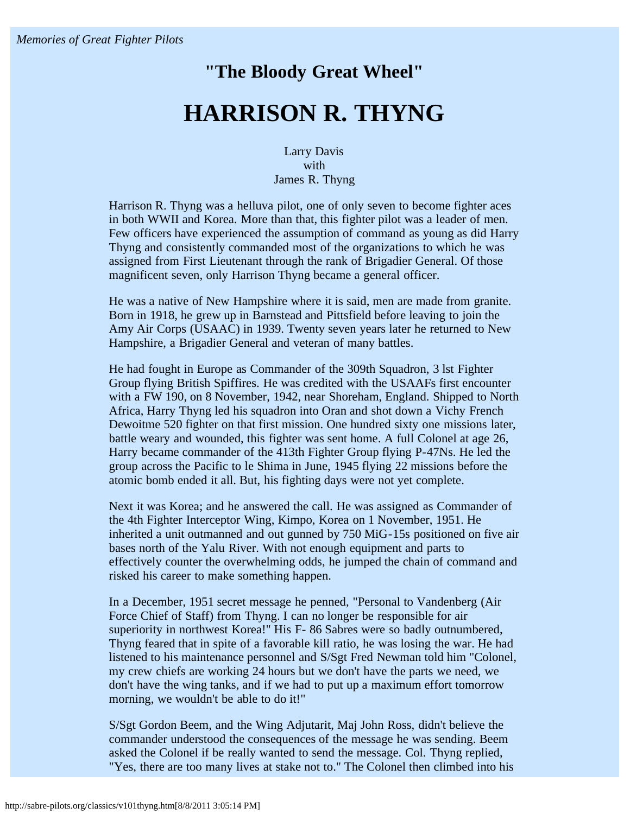## **"The Bloody Great Wheel" HARRISON R. THYNG**

Larry Davis with James R. Thyng

Harrison R. Thyng was a helluva pilot, one of only seven to become fighter aces in both WWII and Korea. More than that, this fighter pilot was a leader of men. Few officers have experienced the assumption of command as young as did Harry Thyng and consistently commanded most of the organizations to which he was assigned from First Lieutenant through the rank of Brigadier General. Of those magnificent seven, only Harrison Thyng became a general officer.

He was a native of New Hampshire where it is said, men are made from granite. Born in 1918, he grew up in Barnstead and Pittsfield before leaving to join the Amy Air Corps (USAAC) in 1939. Twenty seven years later he returned to New Hampshire, a Brigadier General and veteran of many battles.

He had fought in Europe as Commander of the 309th Squadron, 3 lst Fighter Group flying British Spiffires. He was credited with the USAAFs first encounter with a FW 190, on 8 November, 1942, near Shoreham, England. Shipped to North Africa, Harry Thyng led his squadron into Oran and shot down a Vichy French Dewoitme 520 fighter on that first mission. One hundred sixty one missions later, battle weary and wounded, this fighter was sent home. A full Colonel at age 26, Harry became commander of the 413th Fighter Group flying P-47Ns. He led the group across the Pacific to le Shima in June, 1945 flying 22 missions before the atomic bomb ended it all. But, his fighting days were not yet complete.

Next it was Korea; and he answered the call. He was assigned as Commander of the 4th Fighter Interceptor Wing, Kimpo, Korea on 1 November, 1951. He inherited a unit outmanned and out gunned by 750 MiG-15s positioned on five air bases north of the Yalu River. With not enough equipment and parts to effectively counter the overwhelming odds, he jumped the chain of command and risked his career to make something happen.

In a December, 1951 secret message he penned, "Personal to Vandenberg (Air Force Chief of Staff) from Thyng. I can no longer be responsible for air superiority in northwest Korea!" His F- 86 Sabres were so badly outnumbered, Thyng feared that in spite of a favorable kill ratio, he was losing the war. He had listened to his maintenance personnel and S/Sgt Fred Newman told him "Colonel, my crew chiefs are working 24 hours but we don't have the parts we need, we don't have the wing tanks, and if we had to put up a maximum effort tomorrow morning, we wouldn't be able to do it!"

S/Sgt Gordon Beem, and the Wing Adjutarit, Maj John Ross, didn't believe the commander understood the consequences of the message he was sending. Beem asked the Colonel if be really wanted to send the message. Col. Thyng replied, "Yes, there are too many lives at stake not to." The Colonel then climbed into his